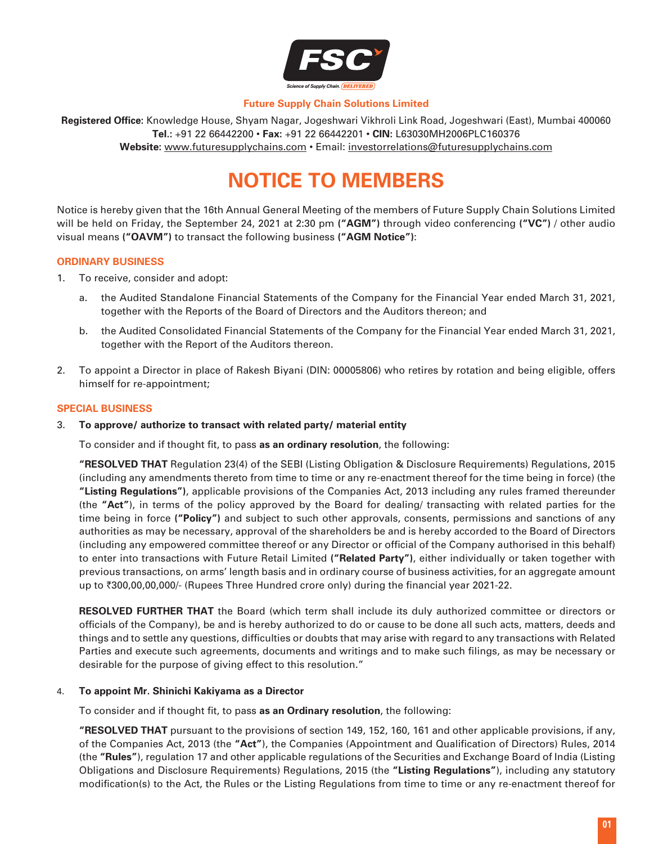

## **Future Supply Chain Solutions Limited**

**Registered Office:** Knowledge House, Shyam Nagar, Jogeshwari Vikhroli Link Road, Jogeshwari (East), Mumbai 400060 **Tel.:** +91 22 66442200 • **Fax:** +91 22 66442201 • **CIN:** L63030MH2006PLC160376 **Website:** www.futuresupplychains.com • Email: [investorrelations@futuresupplychains.com](mailto:investorrelations@futuresupplychains.com)

# **Notice to Members**

Notice is hereby given that the 16th Annual General Meeting of the members of Future Supply Chain Solutions Limited will be held on Friday, the September 24, 2021 at 2:30 pm **("AGM")** through video conferencing **("VC")** / other audio visual means **("OAVM")** to transact the following business **("AGM Notice")**:

#### **ORDINARY BUSINESS**

- 1. To receive, consider and adopt:
	- a. the Audited Standalone Financial Statements of the Company for the Financial Year ended March 31, 2021, together with the Reports of the Board of Directors and the Auditors thereon; and
	- b. the Audited Consolidated Financial Statements of the Company for the Financial Year ended March 31, 2021, together with the Report of the Auditors thereon.
- 2. To appoint a Director in place of Rakesh Biyani (DIN: 00005806) who retires by rotation and being eligible, offers himself for re-appointment;

#### **SPECIAL BUSINESS**

#### 3. **To approve/ authorize to transact with related party/ material entity**

To consider and if thought fit, to pass **as an ordinary resolution**, the following:

**"RESOLVED THAT** Regulation 23(4) of the SEBI (Listing Obligation & Disclosure Requirements) Regulations, 2015 (including any amendments thereto from time to time or any re-enactment thereof for the time being in force) (the **"Listing Regulations")**, applicable provisions of the Companies Act, 2013 including any rules framed thereunder (the **"Act"**), in terms of the policy approved by the Board for dealing/ transacting with related parties for the time being in force **("Policy")** and subject to such other approvals, consents, permissions and sanctions of any authorities as may be necessary, approval of the shareholders be and is hereby accorded to the Board of Directors (including any empowered committee thereof or any Director or official of the Company authorised in this behalf) to enter into transactions with Future Retail Limited **("Related Party")**, either individually or taken together with previous transactions, on arms' length basis and in ordinary course of business activities, for an aggregate amount up to  $\overline{300,00,00,000}$ /- (Rupees Three Hundred crore only) during the financial year 2021-22.

 **RESOLVED FURTHER THAT** the Board (which term shall include its duly authorized committee or directors or officials of the Company), be and is hereby authorized to do or cause to be done all such acts, matters, deeds and things and to settle any questions, difficulties or doubts that may arise with regard to any transactions with Related Parties and execute such agreements, documents and writings and to make such filings, as may be necessary or desirable for the purpose of giving effect to this resolution."

#### 4. **To appoint Mr. Shinichi Kakiyama as a Director**

To consider and if thought fit, to pass **as an Ordinary resolution**, the following:

 **"RESOLVED THAT** pursuant to the provisions of section 149, 152, 160, 161 and other applicable provisions, if any, of the Companies Act, 2013 (the **"Act"**), the Companies (Appointment and Qualification of Directors) Rules, 2014 (the **"Rules"**), regulation 17 and other applicable regulations of the Securities and Exchange Board of India (Listing Obligations and Disclosure Requirements) Regulations, 2015 (the **"Listing Regulations"**), including any statutory modification(s) to the Act, the Rules or the Listing Regulations from time to time or any re-enactment thereof for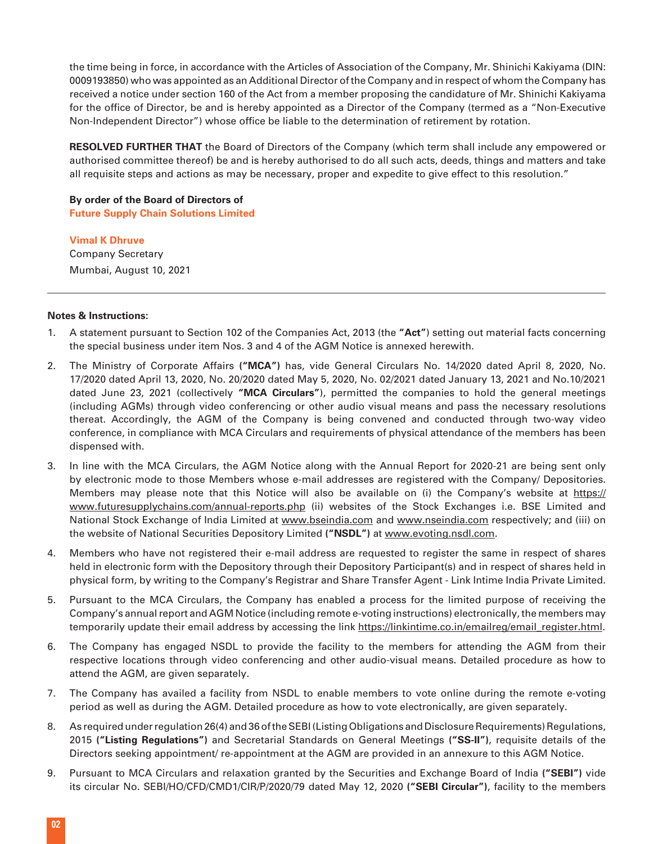the time being in force, in accordance with the Articles of Association of the Company, Mr. Shinichi Kakiyama (DIN: 0009193850) who was appointed as an Additional Director of the Company and in respect of whom the Company has received a notice under section 160 of the Act from a member proposing the candidature of Mr. Shinichi Kakiyama for the office of Director, be and is hereby appointed as a Director of the Company (termed as a "Non-Executive Non-Independent Director") whose office be liable to the determination of retirement by rotation.

 **RESOLVED FURTHER THAT** the Board of Directors of the Company (which term shall include any empowered or authorised committee thereof) be and is hereby authorised to do all such acts, deeds, things and matters and take all requisite steps and actions as may be necessary, proper and expedite to give effect to this resolution."

**By order of the Board of Directors of Future Supply Chain Solutions Limited**

**Vimal K Dhruve** Company Secretary Mumbai, August 10, 2021

#### **Notes & Instructions:**

- 1. A statement pursuant to Section 102 of the Companies Act, 2013 (the **"Act"**) setting out material facts concerning the special business under item Nos. 3 and 4 of the AGM Notice is annexed herewith.
- 2. The Ministry of Corporate Affairs **("MCA")** has, vide General Circulars No. 14/2020 dated April 8, 2020, No. 17/2020 dated April 13, 2020, No. 20/2020 dated May 5, 2020, No. 02/2021 dated January 13, 2021 and No.10/2021 dated June 23, 2021 (collectively **"MCA Circulars"**), permitted the companies to hold the general meetings (including AGMs) through video conferencing or other audio visual means and pass the necessary resolutions thereat. Accordingly, the AGM of the Company is being convened and conducted through two-way video conference, in compliance with MCA Circulars and requirements of physical attendance of the members has been dispensed with.
- 3. In line with the MCA Circulars, the AGM Notice along with the Annual Report for 2020-21 are being sent only by electronic mode to those Members whose e-mail addresses are registered with the Company/ Depositories. Members may please note that this Notice will also be available on (i) the Company's website at https:// www.futuresupplychains.com/annual-reports.php (ii) websites of the Stock Exchanges i.e. BSE Limited and National Stock Exchange of India Limited at www.bseindia.com and www.nseindia.com respectively; and (iii) on the website of National Securities Depository Limited **("NSDL")** at [www.evoting.nsdl.com](http://www.evoting.nsdl.com).
- 4. Members who have not registered their e-mail address are requested to register the same in respect of shares held in electronic form with the Depository through their Depository Participant(s) and in respect of shares held in physical form, by writing to the Company's Registrar and Share Transfer Agent - Link Intime India Private Limited.
- 5. Pursuant to the MCA Circulars, the Company has enabled a process for the limited purpose of receiving the Company's annual report and AGM Notice (including remote e-voting instructions) electronically, the members may temporarily update their email address by accessing the link [https://linkintime.co.in/emailreg/email\\_register.html.](https://linkintime.co.in/emailreg/email_register.html)
- 6. The Company has engaged NSDL to provide the facility to the members for attending the AGM from their respective locations through video conferencing and other audio-visual means. Detailed procedure as how to attend the AGM, are given separately.
- 7. The Company has availed a facility from NSDL to enable members to vote online during the remote e-voting period as well as during the AGM. Detailed procedure as how to vote electronically, are given separately.
- 8. As required under regulation 26(4) and 36 of the SEBI (Listing Obligations and Disclosure Requirements) Regulations, 2015 **("Listing Regulations")** and Secretarial Standards on General Meetings **("SS-II")**, requisite details of the Directors seeking appointment/ re-appointment at the AGM are provided in an annexure to this AGM Notice.
- 9. Pursuant to MCA Circulars and relaxation granted by the Securities and Exchange Board of India **("SEBI")** vide its circular No. SEBI/HO/CFD/CMD1/CIR/P/2020/79 dated May 12, 2020 **("SEBI Circular")**, facility to the members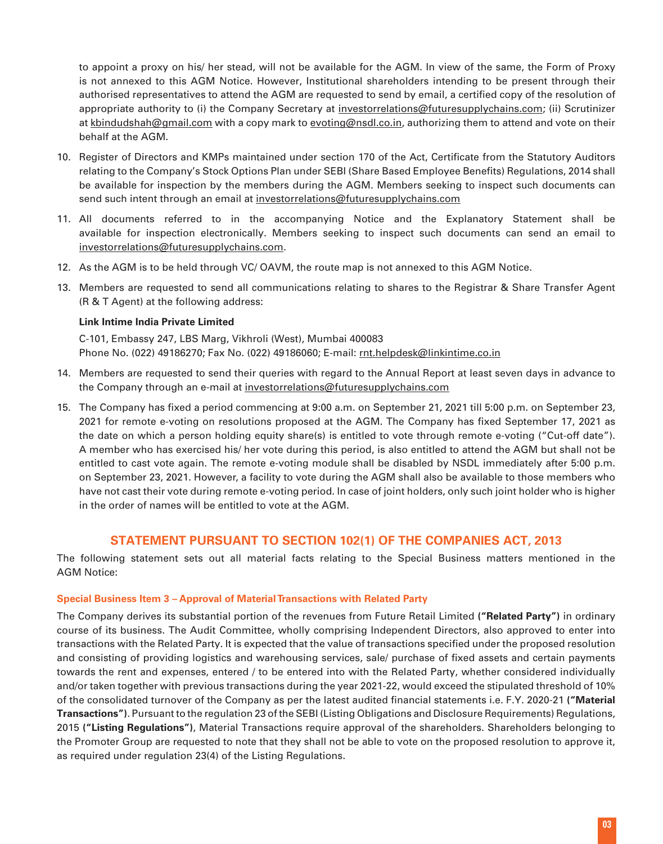to appoint a proxy on his/ her stead, will not be available for the AGM. In view of the same, the Form of Proxy is not annexed to this AGM Notice. However, Institutional shareholders intending to be present through their authorised representatives to attend the AGM are requested to send by email, a certified copy of the resolution of appropriate authority to (i) the Company Secretary at investorrelations@futuresupplychains.com; (ii) Scrutinizer at kbindudshah@gmail.com with a copy mark to evoting@nsdl.co.in, authorizing them to attend and vote on their behalf at the AGM.

- 10. Register of Directors and KMPs maintained under section 170 of the Act, Certificate from the Statutory Auditors relating to the Company's Stock Options Plan under SEBI (Share Based Employee Benefits) Regulations, 2014 shall be available for inspection by the members during the AGM. Members seeking to inspect such documents can send such intent through an email at investorrelations[@futuresupplychains.com](mailto:invesotrrelations@futuresupplychains.com)
- 11. All documents referred to in the accompanying Notice and the Explanatory Statement shall be available for inspection electronically. Members seeking to inspect such documents can send an email to [investorrelations@futuresupplychains.com](mailto:investorrelations@futuresupplychains.com).
- 12. As the AGM is to be held through VC/ OAVM, the route map is not annexed to this AGM Notice.
- 13. Members are requested to send all communications relating to shares to the Registrar & Share Transfer Agent (R & T Agent) at the following address:

# **Link Intime India Private Limited**

C-101, Embassy 247, LBS Marg, Vikhroli (West), Mumbai 400083 Phone No. (022) 49186270; Fax No. (022) 49186060; E-mail: rnt.helpdesk@linkintime.co.in

- 14. Members are requested to send their queries with regard to the Annual Report at least seven days in advance to the Company through an e-mail at [investorrelations@futuresupplychains.com](mailto:investorrelations@futuresupplychains.com)
- 15. The Company has fixed a period commencing at 9:00 a.m. on September 21, 2021 till 5:00 p.m. on September 23, 2021 for remote e-voting on resolutions proposed at the AGM. The Company has fixed September 17, 2021 as the date on which a person holding equity share(s) is entitled to vote through remote e-voting ("Cut-off date"). A member who has exercised his/ her vote during this period, is also entitled to attend the AGM but shall not be entitled to cast vote again. The remote e-voting module shall be disabled by NSDL immediately after 5:00 p.m. on September 23, 2021. However, a facility to vote during the AGM shall also be available to those members who have not cast their vote during remote e-voting period. In case of joint holders, only such joint holder who is higher in the order of names will be entitled to vote at the AGM.

# **STATEMENT PURSUANT TO SECTION 102(1) OF THE COMPANIES ACT, 2013**

The following statement sets out all material facts relating to the Special Business matters mentioned in the AGM Notice:

# **Special Business Item 3 – Approval of Material Transactions with Related Party**

The Company derives its substantial portion of the revenues from Future Retail Limited **("Related Party")** in ordinary course of its business. The Audit Committee, wholly comprising Independent Directors, also approved to enter into transactions with the Related Party. It is expected that the value of transactions specified under the proposed resolution and consisting of providing logistics and warehousing services, sale/ purchase of fixed assets and certain payments towards the rent and expenses, entered / to be entered into with the Related Party, whether considered individually and/or taken together with previous transactions during the year 2021-22, would exceed the stipulated threshold of 10% of the consolidated turnover of the Company as per the latest audited financial statements i.e. F.Y. 2020-21 **("Material Transactions")**. Pursuant to the regulation 23 of the SEBI (Listing Obligations and Disclosure Requirements) Regulations, 2015 **("Listing Regulations")**, Material Transactions require approval of the shareholders. Shareholders belonging to the Promoter Group are requested to note that they shall not be able to vote on the proposed resolution to approve it, as required under regulation 23(4) of the Listing Regulations.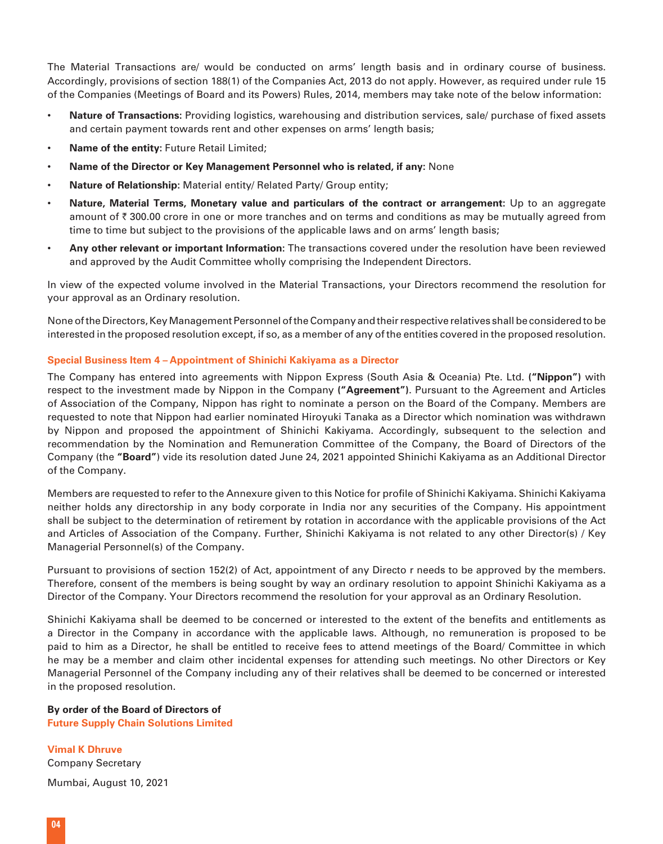The Material Transactions are/ would be conducted on arms' length basis and in ordinary course of business. Accordingly, provisions of section 188(1) of the Companies Act, 2013 do not apply. However, as required under rule 15 of the Companies (Meetings of Board and its Powers) Rules, 2014, members may take note of the below information:

- **Nature of Transactions:** Providing logistics, warehousing and distribution services, sale/ purchase of fixed assets and certain payment towards rent and other expenses on arms' length basis;
- **Name of the entity:** Future Retail Limited;
- **Name of the Director or Key Management Personnel who is related, if any:** None
- **Nature of Relationship:** Material entity/ Related Party/ Group entity;
- **Nature, Material Terms, Monetary value and particulars of the contract or arrangement:** Up to an aggregate amount of  $\bar{\tau}$  300.00 crore in one or more tranches and on terms and conditions as may be mutually agreed from time to time but subject to the provisions of the applicable laws and on arms' length basis;
- **Any other relevant or important Information:** The transactions covered under the resolution have been reviewed and approved by the Audit Committee wholly comprising the Independent Directors.

In view of the expected volume involved in the Material Transactions, your Directors recommend the resolution for your approval as an Ordinary resolution.

None of the Directors, Key Management Personnel of the Company and their respective relatives shall be considered to be interested in the proposed resolution except, if so, as a member of any of the entities covered in the proposed resolution.

#### **Special Business Item 4 – Appointment of Shinichi Kakiyama as a Director**

The Company has entered into agreements with Nippon Express (South Asia & Oceania) Pte. Ltd. **("Nippon")** with respect to the investment made by Nippon in the Company **("Agreement")**. Pursuant to the Agreement and Articles of Association of the Company, Nippon has right to nominate a person on the Board of the Company. Members are requested to note that Nippon had earlier nominated Hiroyuki Tanaka as a Director which nomination was withdrawn by Nippon and proposed the appointment of Shinichi Kakiyama. Accordingly, subsequent to the selection and recommendation by the Nomination and Remuneration Committee of the Company, the Board of Directors of the Company (the **"Board"**) vide its resolution dated June 24, 2021 appointed Shinichi Kakiyama as an Additional Director of the Company.

Members are requested to refer to the Annexure given to this Notice for profile of Shinichi Kakiyama. Shinichi Kakiyama neither holds any directorship in any body corporate in India nor any securities of the Company. His appointment shall be subject to the determination of retirement by rotation in accordance with the applicable provisions of the Act and Articles of Association of the Company. Further, Shinichi Kakiyama is not related to any other Director(s) / Key Managerial Personnel(s) of the Company.

Pursuant to provisions of section 152(2) of Act, appointment of any Directo r needs to be approved by the members. Therefore, consent of the members is being sought by way an ordinary resolution to appoint Shinichi Kakiyama as a Director of the Company. Your Directors recommend the resolution for your approval as an Ordinary Resolution.

Shinichi Kakiyama shall be deemed to be concerned or interested to the extent of the benefits and entitlements as a Director in the Company in accordance with the applicable laws. Although, no remuneration is proposed to be paid to him as a Director, he shall be entitled to receive fees to attend meetings of the Board/ Committee in which he may be a member and claim other incidental expenses for attending such meetings. No other Directors or Key Managerial Personnel of the Company including any of their relatives shall be deemed to be concerned or interested in the proposed resolution.

# **By order of the Board of Directors of Future Supply Chain Solutions Limited**

**Vimal K Dhruve** Company Secretary Mumbai, August 10, 2021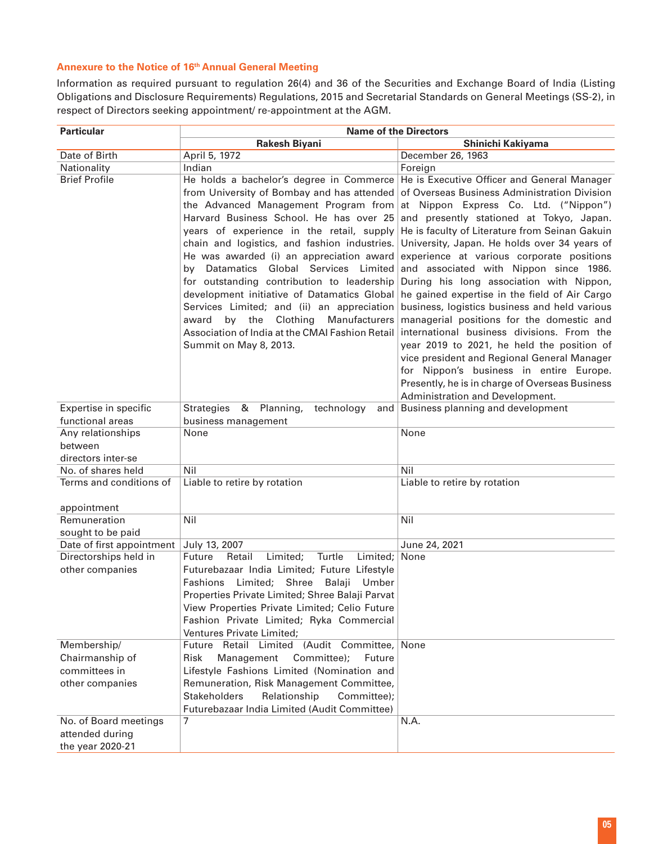# **Annexure to the Notice of 16th Annual General Meeting**

Information as required pursuant to regulation 26(4) and 36 of the Securities and Exchange Board of India (Listing Obligations and Disclosure Requirements) Regulations, 2015 and Secretarial Standards on General Meetings (SS-2), in respect of Directors seeking appointment/ re-appointment at the AGM.

| <b>Particular</b>                        | <b>Name of the Directors</b>                                                                                                                                                                                                                                                                                                    |                                                                                                                                                                                                                                                                                                                                                                              |  |
|------------------------------------------|---------------------------------------------------------------------------------------------------------------------------------------------------------------------------------------------------------------------------------------------------------------------------------------------------------------------------------|------------------------------------------------------------------------------------------------------------------------------------------------------------------------------------------------------------------------------------------------------------------------------------------------------------------------------------------------------------------------------|--|
|                                          | Rakesh Biyani                                                                                                                                                                                                                                                                                                                   | Shinichi Kakiyama                                                                                                                                                                                                                                                                                                                                                            |  |
| Date of Birth                            | April 5, 1972                                                                                                                                                                                                                                                                                                                   | December 26, 1963                                                                                                                                                                                                                                                                                                                                                            |  |
| Nationality                              | Indian                                                                                                                                                                                                                                                                                                                          | Foreign                                                                                                                                                                                                                                                                                                                                                                      |  |
| <b>Brief Profile</b>                     | He holds a bachelor's degree in Commerce<br>from University of Bombay and has attended<br>the Advanced Management Program from<br>Harvard Business School. He has over 25<br>years of experience in the retail, supply<br>chain and logistics, and fashion industries.<br>He was awarded (i) an appreciation award              | He is Executive Officer and General Manager<br>of Overseas Business Administration Division<br>at Nippon Express Co. Ltd. ("Nippon")<br>and presently stationed at Tokyo, Japan.<br>He is faculty of Literature from Seinan Gakuin<br>University, Japan. He holds over 34 years of<br>experience at various corporate positions                                              |  |
|                                          | by Datamatics Global Services Limited<br>for outstanding contribution to leadership<br>development initiative of Datamatics Global<br>Services Limited; and (ii) an appreciation<br>by the<br>Clothing<br>Manufacturers<br>award<br>Association of India at the CMAI Fashion Retail<br>Summit on May 8, 2013.                   | and associated with Nippon since 1986.<br>During his long association with Nippon,<br>he gained expertise in the field of Air Cargo<br>business, logistics business and held various<br>managerial positions for the domestic and<br>international business divisions. From the<br>year 2019 to 2021, he held the position of<br>vice president and Regional General Manager |  |
|                                          |                                                                                                                                                                                                                                                                                                                                 | for Nippon's business in entire Europe.<br>Presently, he is in charge of Overseas Business<br>Administration and Development.                                                                                                                                                                                                                                                |  |
| Expertise in specific                    | Strategies & Planning,<br>technology                                                                                                                                                                                                                                                                                            | and Business planning and development                                                                                                                                                                                                                                                                                                                                        |  |
| functional areas                         | business management                                                                                                                                                                                                                                                                                                             |                                                                                                                                                                                                                                                                                                                                                                              |  |
| Any relationships                        | None                                                                                                                                                                                                                                                                                                                            | None                                                                                                                                                                                                                                                                                                                                                                         |  |
| between                                  |                                                                                                                                                                                                                                                                                                                                 |                                                                                                                                                                                                                                                                                                                                                                              |  |
| directors inter-se                       |                                                                                                                                                                                                                                                                                                                                 |                                                                                                                                                                                                                                                                                                                                                                              |  |
| No. of shares held                       | Nil                                                                                                                                                                                                                                                                                                                             | Nil                                                                                                                                                                                                                                                                                                                                                                          |  |
| Terms and conditions of                  | Liable to retire by rotation                                                                                                                                                                                                                                                                                                    | Liable to retire by rotation                                                                                                                                                                                                                                                                                                                                                 |  |
| appointment                              |                                                                                                                                                                                                                                                                                                                                 |                                                                                                                                                                                                                                                                                                                                                                              |  |
| Remuneration                             | Nil                                                                                                                                                                                                                                                                                                                             | Nil                                                                                                                                                                                                                                                                                                                                                                          |  |
| sought to be paid                        |                                                                                                                                                                                                                                                                                                                                 |                                                                                                                                                                                                                                                                                                                                                                              |  |
| Date of first appointment                | July 13, 2007                                                                                                                                                                                                                                                                                                                   | June 24, 2021                                                                                                                                                                                                                                                                                                                                                                |  |
| Directorships held in<br>other companies | Future<br>Retail<br>Turtle<br>Limited; None<br>Limited;<br>Futurebazaar India Limited; Future Lifestyle<br>Fashions Limited; Shree<br>Balaji Umber<br>Properties Private Limited; Shree Balaji Parvat<br>View Properties Private Limited; Celio Future<br>Fashion Private Limited; Ryka Commercial<br>Ventures Private Limited; |                                                                                                                                                                                                                                                                                                                                                                              |  |
| Membership/                              | Future Retail Limited (Audit Committee,                                                                                                                                                                                                                                                                                         | None                                                                                                                                                                                                                                                                                                                                                                         |  |
| Chairmanship of                          | Committee);<br><b>Risk</b><br>Management<br>Future                                                                                                                                                                                                                                                                              |                                                                                                                                                                                                                                                                                                                                                                              |  |
| committees in                            | Lifestyle Fashions Limited (Nomination and                                                                                                                                                                                                                                                                                      |                                                                                                                                                                                                                                                                                                                                                                              |  |
| other companies                          | Remuneration, Risk Management Committee,                                                                                                                                                                                                                                                                                        |                                                                                                                                                                                                                                                                                                                                                                              |  |
|                                          | Relationship<br><b>Stakeholders</b><br>Committee);                                                                                                                                                                                                                                                                              |                                                                                                                                                                                                                                                                                                                                                                              |  |
| No. of Board meetings                    | Futurebazaar India Limited (Audit Committee)<br>7                                                                                                                                                                                                                                                                               | N.A.                                                                                                                                                                                                                                                                                                                                                                         |  |
| attended during                          |                                                                                                                                                                                                                                                                                                                                 |                                                                                                                                                                                                                                                                                                                                                                              |  |
| the year 2020-21                         |                                                                                                                                                                                                                                                                                                                                 |                                                                                                                                                                                                                                                                                                                                                                              |  |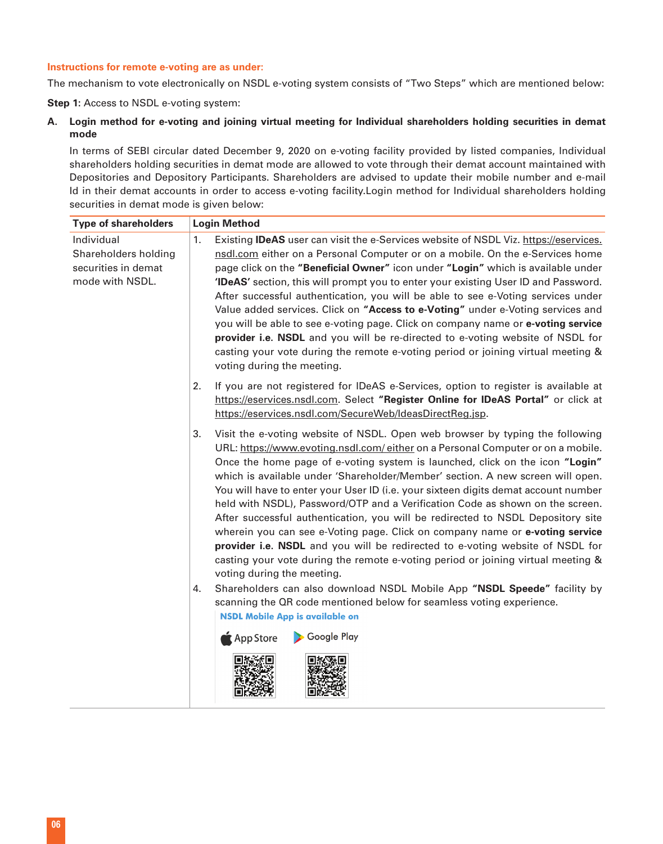# **Instructions for remote e-voting are as under:**

The mechanism to vote electronically on NSDL e-voting system consists of "Two Steps" which are mentioned below:

**Step 1:** Access to NSDL e-voting system:

**A. Login method for e-voting and joining virtual meeting for Individual shareholders holding securities in demat mode**

 In terms of SEBI circular dated December 9, 2020 on e-voting facility provided by listed companies, Individual shareholders holding securities in demat mode are allowed to vote through their demat account maintained with Depositories and Depository Participants. Shareholders are advised to update their mobile number and e-mail Id in their demat accounts in order to access e-voting facility.Login method for Individual shareholders holding securities in demat mode is given below:

| <b>Type of shareholders</b>                                                  | <b>Login Method</b>                                                                                                                                                                                                                                                                                                                                                                                                                                                                                                                                                                                                                                                                                                                                                                                                                                                                  |  |  |
|------------------------------------------------------------------------------|--------------------------------------------------------------------------------------------------------------------------------------------------------------------------------------------------------------------------------------------------------------------------------------------------------------------------------------------------------------------------------------------------------------------------------------------------------------------------------------------------------------------------------------------------------------------------------------------------------------------------------------------------------------------------------------------------------------------------------------------------------------------------------------------------------------------------------------------------------------------------------------|--|--|
| Individual<br>Shareholders holding<br>securities in demat<br>mode with NSDL. | Existing <b>IDeAS</b> user can visit the e-Services website of NSDL Viz. https://eservices.<br>1.<br>nsdl.com either on a Personal Computer or on a mobile. On the e-Services home<br>page click on the "Beneficial Owner" icon under "Login" which is available under<br>'IDeAS' section, this will prompt you to enter your existing User ID and Password.<br>After successful authentication, you will be able to see e-Voting services under<br>Value added services. Click on "Access to e-Voting" under e-Voting services and<br>you will be able to see e-voting page. Click on company name or e-voting service<br>provider i.e. NSDL and you will be re-directed to e-voting website of NSDL for<br>casting your vote during the remote e-voting period or joining virtual meeting &<br>voting during the meeting.                                                          |  |  |
|                                                                              | 2.<br>If you are not registered for IDeAS e-Services, option to register is available at<br>https://eservices.nsdl.com. Select "Register Online for IDeAS Portal" or click at<br>https://eservices.nsdl.com/SecureWeb/IdeasDirectReg.jsp.                                                                                                                                                                                                                                                                                                                                                                                                                                                                                                                                                                                                                                            |  |  |
|                                                                              | 3.<br>Visit the e-voting website of NSDL. Open web browser by typing the following<br>URL: https://www.evoting.nsdl.com/either on a Personal Computer or on a mobile.<br>Once the home page of e-voting system is launched, click on the icon "Login"<br>which is available under 'Shareholder/Member' section. A new screen will open.<br>You will have to enter your User ID (i.e. your sixteen digits demat account number<br>held with NSDL), Password/OTP and a Verification Code as shown on the screen.<br>After successful authentication, you will be redirected to NSDL Depository site<br>wherein you can see e-Voting page. Click on company name or e-voting service<br>provider i.e. NSDL and you will be redirected to e-voting website of NSDL for<br>casting your vote during the remote e-voting period or joining virtual meeting &<br>voting during the meeting. |  |  |
|                                                                              | Shareholders can also download NSDL Mobile App "NSDL Speede" facility by<br>4.<br>scanning the QR code mentioned below for seamless voting experience.<br><b>NSDL Mobile App is available on</b><br>Google Play<br>App Store                                                                                                                                                                                                                                                                                                                                                                                                                                                                                                                                                                                                                                                         |  |  |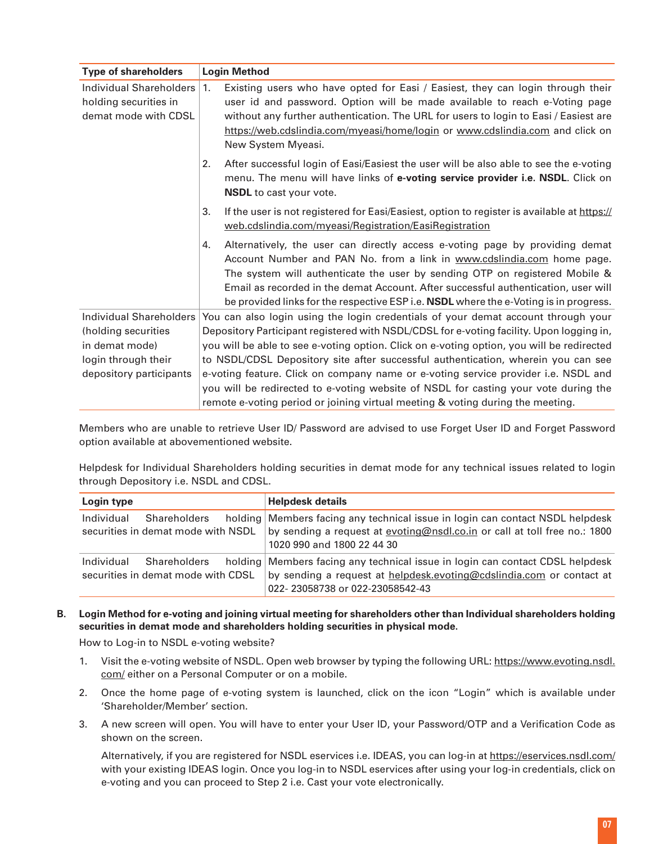| <b>Type of shareholders</b> | <b>Login Method</b>                                                                               |  |
|-----------------------------|---------------------------------------------------------------------------------------------------|--|
| Individual Shareholders     | Existing users who have opted for Easi / Easiest, they can login through their<br>$\vert$ 1.      |  |
| holding securities in       | user id and password. Option will be made available to reach e-Voting page                        |  |
| demat mode with CDSL        | without any further authentication. The URL for users to login to Easi / Easiest are              |  |
|                             | https://web.cdslindia.com/myeasi/home/login or www.cdslindia.com and click on                     |  |
|                             | New System Myeasi.                                                                                |  |
|                             | 2.<br>After successful login of Easi/Easiest the user will be also able to see the e-voting       |  |
|                             | menu. The menu will have links of e-voting service provider i.e. NSDL. Click on                   |  |
|                             | <b>NSDL</b> to cast your vote.                                                                    |  |
|                             | If the user is not registered for Easi/Easiest, option to register is available at https://<br>3. |  |
|                             | web.cdslindia.com/myeasi/Registration/EasiRegistration                                            |  |
|                             | Alternatively, the user can directly access e-voting page by providing demat<br>4.                |  |
|                             | Account Number and PAN No. from a link in www.cdslindia.com home page.                            |  |
|                             | The system will authenticate the user by sending OTP on registered Mobile &                       |  |
|                             | Email as recorded in the demat Account. After successful authentication, user will                |  |
|                             | be provided links for the respective ESP i.e. NSDL where the e-Voting is in progress.             |  |
| Individual Shareholders     | You can also login using the login credentials of your demat account through your                 |  |
| (holding securities         | Depository Participant registered with NSDL/CDSL for e-voting facility. Upon logging in,          |  |
| in demat mode)              | you will be able to see e-voting option. Click on e-voting option, you will be redirected         |  |
| login through their         | to NSDL/CDSL Depository site after successful authentication, wherein you can see                 |  |
| depository participants     | e-voting feature. Click on company name or e-voting service provider i.e. NSDL and                |  |
|                             | you will be redirected to e-voting website of NSDL for casting your vote during the               |  |
|                             | remote e-voting period or joining virtual meeting & voting during the meeting.                    |  |

 Members who are unable to retrieve User ID/ Password are advised to use Forget User ID and Forget Password option available at abovementioned website.

 Helpdesk for Individual Shareholders holding securities in demat mode for any technical issues related to login through Depository i.e. NSDL and CDSL.

| Login type                         | <b>Helpdesk details</b>                                                       |  |
|------------------------------------|-------------------------------------------------------------------------------|--|
| Individual                         | holding Members facing any technical issue in login can contact NSDL helpdesk |  |
| <b>Shareholders</b>                | by sending a request at evoting@nsdl.co.in or call at toll free no.: 1800     |  |
| securities in demat mode with NSDL | 1020 990 and 1800 22 44 30                                                    |  |
| Individual                         | holding Members facing any technical issue in login can contact CDSL helpdesk |  |
| Shareholders                       | by sending a request at helpdesk.evoting@cdslindia.com or contact at          |  |
| securities in demat mode with CDSL | 022-23058738 or 022-23058542-43                                               |  |

**B. Login Method for e-voting and joining virtual meeting for shareholders other than Individual shareholders holding securities in demat mode and shareholders holding securities in physical mode.**

How to Log-in to NSDL e-voting website?

- 1. Visit the e-voting website of NSDL. Open web browser by typing the following URL: [https://www.evoting.nsdl.](https://www.evoting.nsdl.com/) [com/](https://www.evoting.nsdl.com/) either on a Personal Computer or on a mobile.
- 2. Once the home page of e-voting system is launched, click on the icon "Login" which is available under 'Shareholder/Member' section.
- 3. A new screen will open. You will have to enter your User ID, your Password/OTP and a Verification Code as shown on the screen.

 Alternatively, if you are registered for NSDL eservices i.e. IDEAS, you can log-in at<https://eservices.nsdl.com/> with your existing IDEAS login. Once you log-in to NSDL eservices after using your log-in credentials, click on e-voting and you can proceed to Step 2 i.e. Cast your vote electronically.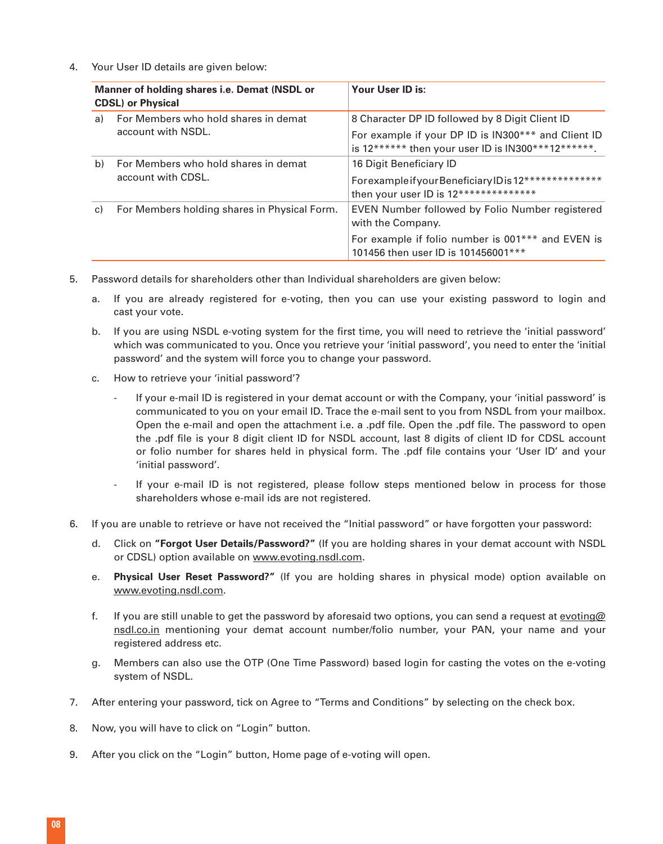4. Your User ID details are given below:

| Manner of holding shares i.e. Demat (NSDL or<br><b>CDSL</b> ) or Physical |                                                            | Your User ID is:                                                                                                                                               |  |
|---------------------------------------------------------------------------|------------------------------------------------------------|----------------------------------------------------------------------------------------------------------------------------------------------------------------|--|
| a)                                                                        | For Members who hold shares in demat<br>account with NSDL. | 8 Character DP ID followed by 8 Digit Client ID<br>For example if your DP ID is IN300*** and Client ID<br>is $12******$ then your user ID is IN300***12******. |  |
| b)                                                                        | For Members who hold shares in demat<br>account with CDSL. | 16 Digit Beneficiary ID<br>For example if your Beneficiary ID is 12**************<br>then your user ID is 12**************                                     |  |
| For Members holding shares in Physical Form.<br>C)                        |                                                            | EVEN Number followed by Folio Number registered<br>with the Company.                                                                                           |  |
|                                                                           |                                                            | For example if folio number is 001*** and EVEN is<br>101456 then user ID is 101456001***                                                                       |  |

- 5. Password details for shareholders other than Individual shareholders are given below:
	- a. If you are already registered for e-voting, then you can use your existing password to login and cast your vote.
	- b. If you are using NSDL e-voting system for the first time, you will need to retrieve the 'initial password' which was communicated to you. Once you retrieve your 'initial password', you need to enter the 'initial password' and the system will force you to change your password.
	- c. How to retrieve your 'initial password'?
		- If your e-mail ID is registered in your demat account or with the Company, your 'initial password' is communicated to you on your email ID. Trace the e-mail sent to you from NSDL from your mailbox. Open the e-mail and open the attachment i.e. a .pdf file. Open the .pdf file. The password to open the .pdf file is your 8 digit client ID for NSDL account, last 8 digits of client ID for CDSL account or folio number for shares held in physical form. The .pdf file contains your 'User ID' and your 'initial password'.
		- If your e-mail ID is not registered, please follow steps mentioned below in process for those shareholders whose e-mail ids are not registered.
- 6. If you are unable to retrieve or have not received the "Initial password" or have forgotten your password:
	- d. Click on **"[Forgot User Details/Password?"](https://www.evoting.nsdl.com/eVotingWeb/commonhtmls/NewUser.jsp)** (If you are holding shares in your demat account with NSDL or CDSL) option available on [www.evoting.nsdl.com.](http://www.evoting.nsdl.com)
	- e. **[Physical User Reset Password?](https://www.evoting.nsdl.com/eVotingWeb/commonhtmls/PhysicalUser.jsp)"** (If you are holding shares in physical mode) option available on [www.evoting.nsdl.com](http://www.evoting.nsdl.com).
	- f. If you are still unable to get the password by aforesaid two options, you can send a request at evoting  $\omega$ [nsdl.co.in](mailto:evoting@nsdl.co.in) mentioning your demat account number/folio number, your PAN, your name and your registered address etc.
	- g. Members can also use the OTP (One Time Password) based login for casting the votes on the e-voting system of NSDL.
- 7. After entering your password, tick on Agree to "Terms and Conditions" by selecting on the check box.
- 8. Now, you will have to click on "Login" button.
- 9. After you click on the "Login" button, Home page of e-voting will open.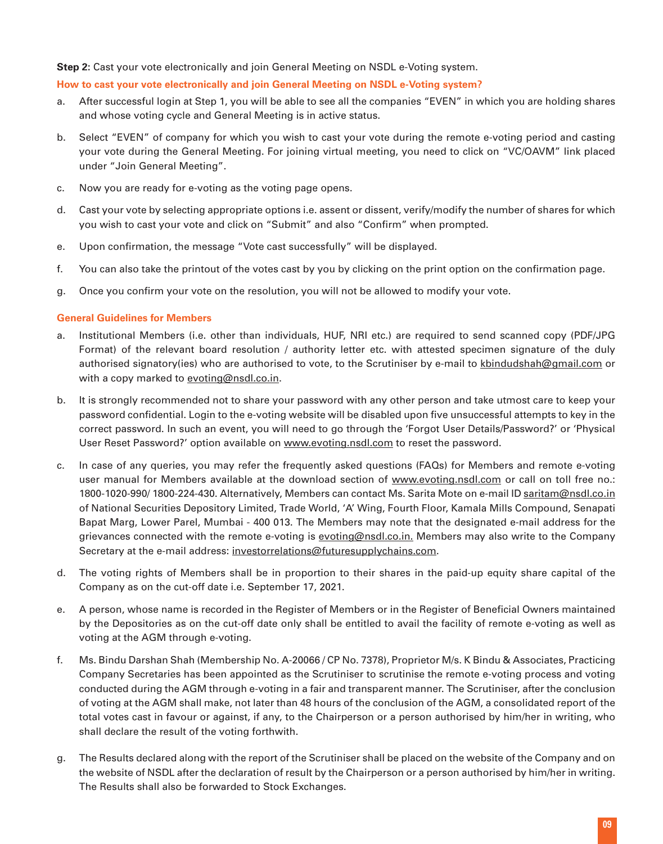# **Step 2:** Cast your vote electronically and join General Meeting on NSDL e-Voting system.

## **How to cast your vote electronically and join General Meeting on NSDL e-Voting system?**

- a. After successful login at Step 1, you will be able to see all the companies "EVEN" in which you are holding shares and whose voting cycle and General Meeting is in active status.
- b. Select "EVEN" of company for which you wish to cast your vote during the remote e-voting period and casting your vote during the General Meeting. For joining virtual meeting, you need to click on "VC/OAVM" link placed under "Join General Meeting".
- c. Now you are ready for e-voting as the voting page opens.
- d. Cast your vote by selecting appropriate options i.e. assent or dissent, verify/modify the number of shares for which you wish to cast your vote and click on "Submit" and also "Confirm" when prompted.
- e. Upon confirmation, the message "Vote cast successfully" will be displayed.
- f. You can also take the printout of the votes cast by you by clicking on the print option on the confirmation page.
- g. Once you confirm your vote on the resolution, you will not be allowed to modify your vote.

# **General Guidelines for Members**

- a. Institutional Members (i.e. other than individuals, HUF, NRI etc.) are required to send scanned copy (PDF/JPG Format) of the relevant board resolution / authority letter etc. with attested specimen signature of the duly authorised signatory(ies) who are authorised to vote, to the Scrutiniser by e-mail to [kbindudshah@gmail.com](mailto:kbindushah@gmail.com) or with a copy marked to [evoting@nsdl.co.in](mailto:evoting@nsdl.co.in).
- b. It is strongly recommended not to share your password with any other person and take utmost care to keep your password confidential. Login to the e-voting website will be disabled upon five unsuccessful attempts to key in the correct password. In such an event, you will need to go through the 'Forgot User Details/Password?' or 'Physical User Reset Password?' option available on [www.evoting.nsdl.com](http://www.evoting.nsdl.com) to reset the password.
- c. In case of any queries, you may refer the frequently asked questions (FAQs) for Members and remote e-voting user manual for Members available at the download section of www.evoting.nsdl.com or call on toll free no.: 1800-1020-990/ 1800-224-430. Alternatively, Members can contact Ms. Sarita Mote on e-mail ID [saritam@nsdl.co.in](mailto:saritam@nsdl.co.in) of National Securities Depository Limited, Trade World, 'A' Wing, Fourth Floor, Kamala Mills Compound, Senapati Bapat Marg, Lower Parel, Mumbai - 400 013. The Members may note that the designated e-mail address for the grievances connected with the remote e-voting is [evoting@nsdl.co.in.](mailto:evoting@nsdl.co.in) Members may also write to the Company Secretary at the e-mail address: [investorrelations@futuresupplychains.com](mailto:investorrelations@futuresupplychains.com).
- d. The voting rights of Members shall be in proportion to their shares in the paid-up equity share capital of the Company as on the cut-off date i.e. September 17, 2021.
- e. A person, whose name is recorded in the Register of Members or in the Register of Beneficial Owners maintained by the Depositories as on the cut-off date only shall be entitled to avail the facility of remote e-voting as well as voting at the AGM through e-voting.
- f. Ms. Bindu Darshan Shah (Membership No. A-20066 / CP No. 7378), Proprietor M/s. K Bindu & Associates, Practicing Company Secretaries has been appointed as the Scrutiniser to scrutinise the remote e-voting process and voting conducted during the AGM through e-voting in a fair and transparent manner. The Scrutiniser, after the conclusion of voting at the AGM shall make, not later than 48 hours of the conclusion of the AGM, a consolidated report of the total votes cast in favour or against, if any, to the Chairperson or a person authorised by him/her in writing, who shall declare the result of the voting forthwith.
- g. The Results declared along with the report of the Scrutiniser shall be placed on the website of the Company and on the website of NSDL after the declaration of result by the Chairperson or a person authorised by him/her in writing. The Results shall also be forwarded to Stock Exchanges.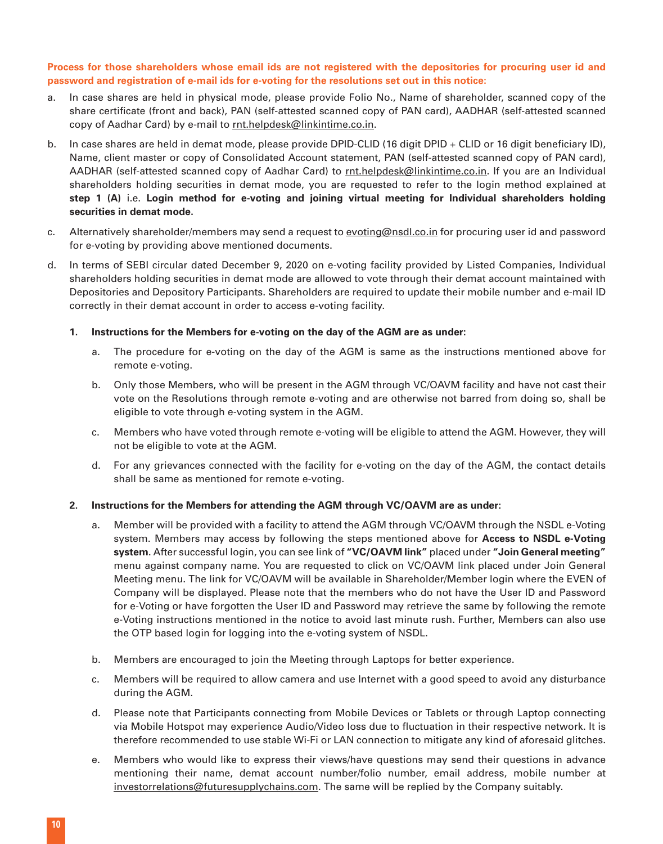# **Process for those shareholders whose email ids are not registered with the depositories for procuring user id and password and registration of e-mail ids for e-voting for the resolutions set out in this notice:**

- a. In case shares are held in physical mode, please provide Folio No., Name of shareholder, scanned copy of the share certificate (front and back), PAN (self-attested scanned copy of PAN card), AADHAR (self-attested scanned copy of Aadhar Card) by e-mail to [rnt.helpdesk@linkintime.co.in](mailto:rnt.helpdesk@linkintime.co.in).
- b. In case shares are held in demat mode, please provide DPID-CLID (16 digit DPID + CLID or 16 digit beneficiary ID), Name, client master or copy of Consolidated Account statement, PAN (self-attested scanned copy of PAN card), AADHAR (self-attested scanned copy of Aadhar Card) to [rnt.helpdesk@linkintime.co.in](mailto:rnt.helpdesk@linkintime.co.in). If you are an Individual shareholders holding securities in demat mode, you are requested to refer to the login method explained at **step 1 (A)** i.e. **Login method for e-voting and joining virtual meeting for Individual shareholders holding securities in demat mode.**
- c. Alternatively shareholder/members may send a request to [evoting@nsdl.co.in](mailto:evoting@nsdl.co.in) for procuring user id and password for e-voting by providing above mentioned documents.
- d. In terms of SEBI circular dated December 9, 2020 on e-voting facility provided by Listed Companies, Individual shareholders holding securities in demat mode are allowed to vote through their demat account maintained with Depositories and Depository Participants. Shareholders are required to update their mobile number and e-mail ID correctly in their demat account in order to access e-voting facility.
	- **1. Instructions for the Members for e-voting on the day of the AGM are as under:**
		- a. The procedure for e-voting on the day of the AGM is same as the instructions mentioned above for remote e-voting.
		- b. Only those Members, who will be present in the AGM through VC/OAVM facility and have not cast their vote on the Resolutions through remote e-voting and are otherwise not barred from doing so, shall be eligible to vote through e-voting system in the AGM.
		- c. Members who have voted through remote e-voting will be eligible to attend the AGM. However, they will not be eligible to vote at the AGM.
		- d. For any grievances connected with the facility for e-voting on the day of the AGM, the contact details shall be same as mentioned for remote e-voting.

# **2. Instructions for the Members for attending the AGM through VC/OAVM are as under:**

- a. Member will be provided with a facility to attend the AGM through VC/OAVM through the NSDL e-Voting system. Members may access by following the steps mentioned above for **Access to NSDL e-Voting system**. After successful login, you can see link of **"VC/OAVM link"** placed under **"Join General meeting"**  menu against company name. You are requested to click on VC/OAVM link placed under Join General Meeting menu. The link for VC/OAVM will be available in Shareholder/Member login where the EVEN of Company will be displayed. Please note that the members who do not have the User ID and Password for e-Voting or have forgotten the User ID and Password may retrieve the same by following the remote e-Voting instructions mentioned in the notice to avoid last minute rush. Further, Members can also use the OTP based login for logging into the e-voting system of NSDL.
- b. Members are encouraged to join the Meeting through Laptops for better experience.
- c. Members will be required to allow camera and use Internet with a good speed to avoid any disturbance during the AGM.
- d. Please note that Participants connecting from Mobile Devices or Tablets or through Laptop connecting via Mobile Hotspot may experience Audio/Video loss due to fluctuation in their respective network. It is therefore recommended to use stable Wi-Fi or LAN connection to mitigate any kind of aforesaid glitches.
- e. Members who would like to express their views/have questions may send their questions in advance mentioning their name, demat account number/folio number, email address, mobile number at [investorrelations@futuresupplychains.com](mailto:investorrelations@futuresupplychains.com). The same will be replied by the Company suitably.